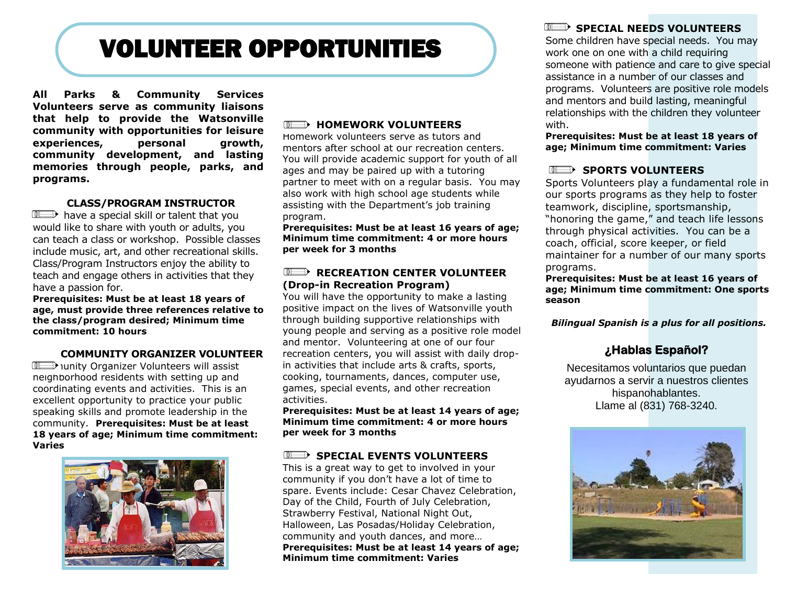# VOLUNTEER OPPORTUNITIES

**All Parks & Community Services Volunteers serve as community liaisons that help to provide the Watsonville community with opportunities for leisure experiences, personal growth, community development, and lasting memories through people, parks, and programs.** 

#### **CLASS/PROGRAM INSTRUCTOR**

 $III \longrightarrow$  have a special skill or talent that you would like to share with youth or adults, you can teach a class or workshop. Possible classes include music, art, and other recreational skills. Class/Program Instructors enjoy the ability to teach and engage others in activities that they have a passion for.

**Prerequisites: Must be at least 18 years of age, must provide three references relative to the class/program desired; Minimum time commitment: 10 hours**

#### **COMMUNITY ORGANIZER VOLUNTEER**

TI unity Organizer Volunteers will assist neighborhood residents with setting up and coordinating events and activities. This is an excellent opportunity to practice your public speaking skills and promote leadership in the community. **Prerequisites: Must be at least 18 years of age; Minimum time commitment: Varies**



#### **IIIEEERS** HOMEWORK VOLUNTEERS

Homework volunteers serve as tutors and mentors after school at our recreation centers. You will provide academic support for youth of all ages and may be paired up with a tutoring partner to meet with on a regular basis. You may also work with high school age students while assisting with the Department's job training program.

**Prerequisites: Must be at least 16 years of age; Minimum time commitment: 4 or more hours per week for 3 months**

#### **RECREATION CENTER VOLUNTEER (Drop-in Recreation Program)**

You will have the opportunity to make a lasting positive impact on the lives of Watsonville youth through building supportive relationships with young people and serving as a positive role model and mentor. Volunteering at one of our four recreation centers, you will assist with daily dropin activities that include arts & crafts, sports, cooking, tournaments, dances, computer use, games, special events, and other recreation activities.

**Prerequisites: Must be at least 14 years of age; Minimum time commitment: 4 or more hours per week for 3 months**

#### **SPECIAL EVENTS VOLUNTEERS**

This is a great way to get to involved in your community if you don't have a lot of time to spare. Events include: Cesar Chavez Celebration, Day of the Child, Fourth of July Celebration, Strawberry Festival, National Night Out, Halloween, Las Posadas/Holiday Celebration, community and youth dances, and more… **Prerequisites: Must be at least 14 years of age; Minimum time commitment: Varies**

#### **SPECIAL NEEDS VOLUNTEERS**

Some children have special needs. You may work one on one with a child requiring someone with patience and care to give special assistance in a number of our classes and programs. Volunteers are positive role models and mentors and build lasting, meaningful relationships with the children they volunteer with.

**Prerequisites: Must be at least 18 years of age; Minimum time commitment: Varies** 

#### **SPORTS VOLUNTEERS**

Sports Volunteers play a fundamental role in our sports programs as they help to foster teamwork, discipline, sportsmanship, "honoring the game," and teach life lessons through physical activities. You can be a coach, official, score keeper, or field maintainer for a number of our many sports programs.

**Prerequisites: Must be at least 16 years of age; Minimum time commitment: One sports season**

*Bilingual Spanish is a plus for all positions.*

### **¿Hablas Español?**

Necesitamos voluntarios que puedan ayudarnos a servir a nuestros clientes hispanohablantes. Llame al (831) 768-3240.